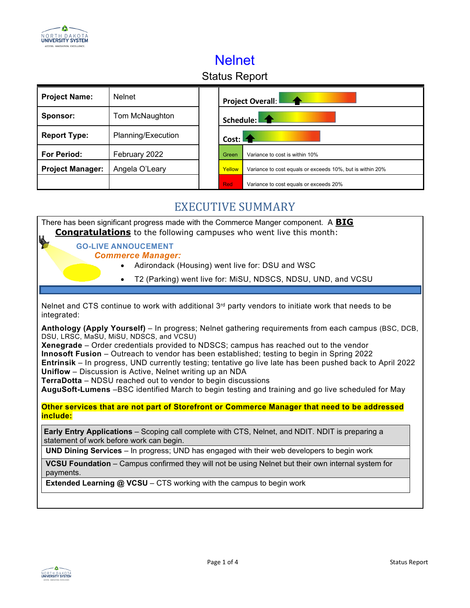

# Nelnet

## Status Report

| <b>Project Name:</b>    | <b>Nelnet</b>      |                                                                     | <b>Project Overall:</b>                |  |
|-------------------------|--------------------|---------------------------------------------------------------------|----------------------------------------|--|
| Sponsor:                | Tom McNaughton     | Schedule:                                                           |                                        |  |
| <b>Report Type:</b>     | Planning/Execution | Cost: $\blacksquare$                                                |                                        |  |
| <b>For Period:</b>      | February 2022      | Green                                                               | Variance to cost is within 10%         |  |
| <b>Project Manager:</b> | Angela O'Leary     | Yellow<br>Variance to cost equals or exceeds 10%, but is within 20% |                                        |  |
|                         |                    | <b>Red</b>                                                          | Variance to cost equals or exceeds 20% |  |

#### EXECUTIVE SUMMARY

|                                                                                                                                                                                                                                                                                                                                                                                                                                                                                                                                                                                                                                                                                                   | There has been significant progress made with the Commerce Manger component. A <b>BIG</b><br><b>Congratulations</b> to the following campuses who went live this month: |  |  |  |  |
|---------------------------------------------------------------------------------------------------------------------------------------------------------------------------------------------------------------------------------------------------------------------------------------------------------------------------------------------------------------------------------------------------------------------------------------------------------------------------------------------------------------------------------------------------------------------------------------------------------------------------------------------------------------------------------------------------|-------------------------------------------------------------------------------------------------------------------------------------------------------------------------|--|--|--|--|
| <b>GO-LIVE ANNOUCEMENT</b><br><b>Commerce Manager:</b>                                                                                                                                                                                                                                                                                                                                                                                                                                                                                                                                                                                                                                            | Adirondack (Housing) went live for: DSU and WSC                                                                                                                         |  |  |  |  |
|                                                                                                                                                                                                                                                                                                                                                                                                                                                                                                                                                                                                                                                                                                   | T2 (Parking) went live for: MiSU, NDSCS, NDSU, UND, and VCSU                                                                                                            |  |  |  |  |
|                                                                                                                                                                                                                                                                                                                                                                                                                                                                                                                                                                                                                                                                                                   |                                                                                                                                                                         |  |  |  |  |
| integrated:                                                                                                                                                                                                                                                                                                                                                                                                                                                                                                                                                                                                                                                                                       | Nelnet and CTS continue to work with additional $3^{rd}$ party vendors to initiate work that needs to be                                                                |  |  |  |  |
| Anthology (Apply Yourself) – In progress; Nelnet gathering requirements from each campus (BSC, DCB,<br>DSU, LRSC, MaSU, MiSU, NDSCS, and VCSU)<br>Xenegrade - Order credentials provided to NDSCS; campus has reached out to the vendor<br>Innosoft Fusion - Outreach to vendor has been established; testing to begin in Spring 2022<br>Entrinsik - In progress, UND currently testing; tentative go live late has been pushed back to April 2022<br><b>Uniflow</b> – Discussion is Active, Nelnet writing up an NDA<br><b>TerraDotta</b> – NDSU reached out to vendor to begin discussions<br>AuguSoft-Lumens -BSC identified March to begin testing and training and go live scheduled for May |                                                                                                                                                                         |  |  |  |  |
| Other services that are not part of Storefront or Commerce Manager that need to be addressed                                                                                                                                                                                                                                                                                                                                                                                                                                                                                                                                                                                                      |                                                                                                                                                                         |  |  |  |  |
| include:                                                                                                                                                                                                                                                                                                                                                                                                                                                                                                                                                                                                                                                                                          |                                                                                                                                                                         |  |  |  |  |
| statement of work before work can begin.                                                                                                                                                                                                                                                                                                                                                                                                                                                                                                                                                                                                                                                          | <b>Early Entry Applications</b> – Scoping call complete with CTS, Nelnet, and NDIT. NDIT is preparing a                                                                 |  |  |  |  |
| <b>UND Dining Services</b> - In progress; UND has engaged with their web developers to begin work                                                                                                                                                                                                                                                                                                                                                                                                                                                                                                                                                                                                 |                                                                                                                                                                         |  |  |  |  |
| VCSU Foundation – Campus confirmed they will not be using Nelnet but their own internal system for<br>payments.                                                                                                                                                                                                                                                                                                                                                                                                                                                                                                                                                                                   |                                                                                                                                                                         |  |  |  |  |
| <b>Extended Learning @ VCSU</b> – CTS working with the campus to begin work                                                                                                                                                                                                                                                                                                                                                                                                                                                                                                                                                                                                                       |                                                                                                                                                                         |  |  |  |  |
|                                                                                                                                                                                                                                                                                                                                                                                                                                                                                                                                                                                                                                                                                                   |                                                                                                                                                                         |  |  |  |  |
|                                                                                                                                                                                                                                                                                                                                                                                                                                                                                                                                                                                                                                                                                                   |                                                                                                                                                                         |  |  |  |  |

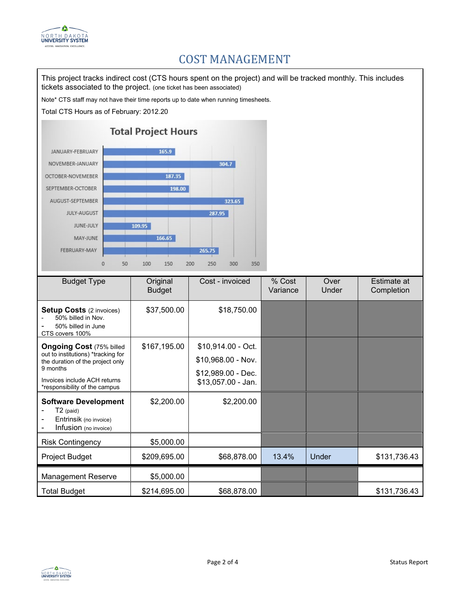

#### COST MANAGEMENT

This project tracks indirect cost (CTS hours spent on the project) and will be tracked monthly. This includes tickets associated to the project. (one ticket has been associated)

Note\* CTS staff may not have their time reports up to date when running timesheets.

Total CTS Hours as of February: 2012.20



| <b>Budget Type</b>                                                                                                                                                                     | Original<br><b>Budget</b> | Cost - invoiced                                                                      | % Cost<br>Variance | Over<br>Under | Estimate at<br>Completion |
|----------------------------------------------------------------------------------------------------------------------------------------------------------------------------------------|---------------------------|--------------------------------------------------------------------------------------|--------------------|---------------|---------------------------|
| <b>Setup Costs (2 invoices)</b><br>50% billed in Nov.<br>50% billed in June<br>CTS covers 100%                                                                                         | \$37,500.00               | \$18,750.00                                                                          |                    |               |                           |
| <b>Ongoing Cost (75% billed</b><br>out to institutions) *tracking for<br>the duration of the project only<br>9 months<br>Invoices include ACH returns<br>*responsibility of the campus | \$167,195.00              | \$10,914.00 - Oct.<br>\$10,968.00 - Nov.<br>\$12,989.00 - Dec.<br>\$13,057.00 - Jan. |                    |               |                           |
| <b>Software Development</b><br>$T2$ (paid)<br>Entrinsik (no invoice)<br>Infusion (no invoice)                                                                                          | \$2,200.00                | \$2,200.00                                                                           |                    |               |                           |
| <b>Risk Contingency</b>                                                                                                                                                                | \$5,000.00                |                                                                                      |                    |               |                           |
| Project Budget                                                                                                                                                                         | \$209,695.00              | \$68,878.00                                                                          | 13.4%              | Under         | \$131,736.43              |
| <b>Management Reserve</b>                                                                                                                                                              | \$5,000.00                |                                                                                      |                    |               |                           |
| <b>Total Budget</b>                                                                                                                                                                    | \$214,695.00              | \$68,878.00                                                                          |                    |               | \$131,736.43              |

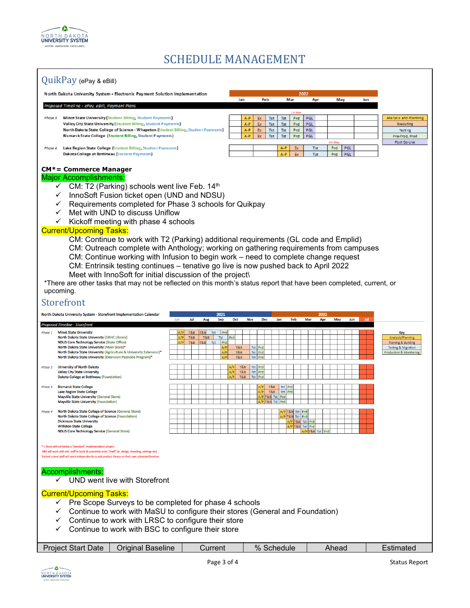

#### SCHEDULE MANAGEMENT



- $\checkmark$  Continue to work with MaSU to configure their stores (General and Foundation)
- $\checkmark$  Continue to work with LRSC to configure their store
- $\checkmark$  Continue to work with BSC to configure their store

| Start<br>Date⊺<br>Proiect | )rıgınal<br>Baseline | urrent | $\%$<br>hedule<br>ה זר | Ahead | nareo |
|---------------------------|----------------------|--------|------------------------|-------|-------|
|                           |                      |        |                        |       |       |